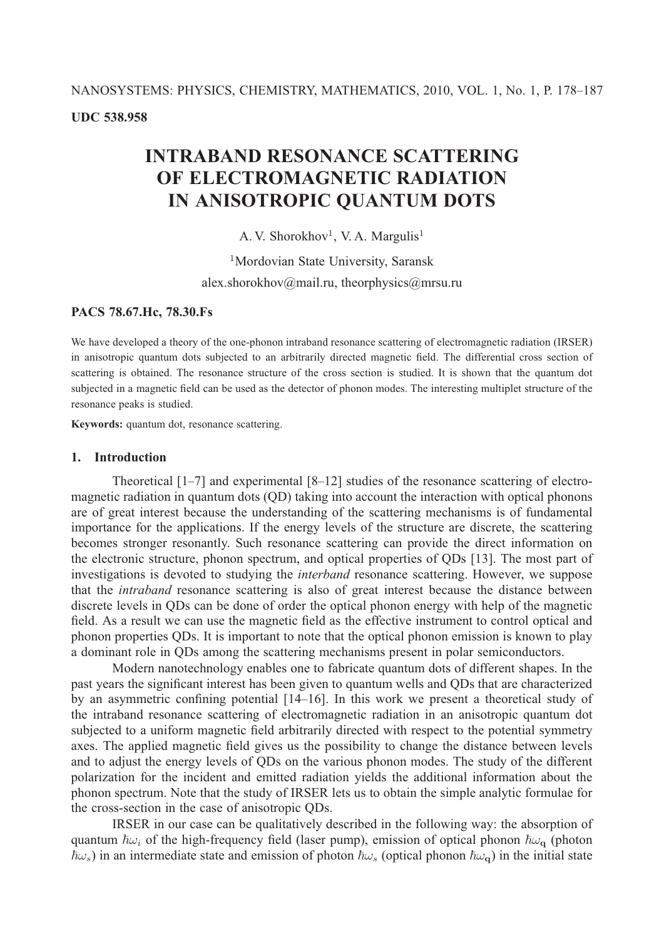# **INTRABAND RESONANCE SCATTERING OF ELECTROMAGNETIC RADIATION IN ANISOTROPIC QUANTUM DOTS**

A. V. Shorokhov<sup>1</sup>, V. A. Margulis<sup>1</sup>

<sup>1</sup>Mordovian State University, Saransk alex.shorokhov@mail.ru, theorphysics@mrsu.ru

## **PACS 78.67.Hc, 78.30.Fs**

We have developed a theory of the one-phonon intraband resonance scattering of electromagnetic radiation (IRSER) in anisotropic quantum dots subjected to an arbitrarily directed magnetic field. The differential cross section of scattering is obtained. The resonance structure of the cross section is studied. It is shown that the quantum dot subjected in a magnetic field can be used as the detector of phonon modes. The interesting multiplet structure of the resonance peaks is studied.

**Keywords:** quantum dot, resonance scattering.

### **1. Introduction**

Theoretical [1–7] and experimental [8–12] studies of the resonance scattering of electromagnetic radiation in quantum dots (QD) taking into account the interaction with optical phonons are of great interest because the understanding of the scattering mechanisms is of fundamental importance for the applications. If the energy levels of the structure are discrete, the scattering becomes stronger resonantly. Such resonance scattering can provide the direct information on the electronic structure, phonon spectrum, and optical properties of QDs [13]. The most part of investigations is devoted to studying the *interband* resonance scattering. However, we suppose that the *intraband* resonance scattering is also of great interest because the distance between discrete levels in QDs can be done of order the optical phonon energy with help of the magnetic field. As a result we can use the magnetic field as the effective instrument to control optical and phonon properties QDs. It is important to note that the optical phonon emission is known to play a dominant role in QDs among the scattering mechanisms present in polar semiconductors.

Modern nanotechnology enables one to fabricate quantum dots of different shapes. In the past years the significant interest has been given to quantum wells and QDs that are characterized by an asymmetric confining potential [14–16]. In this work we present a theoretical study of the intraband resonance scattering of electromagnetic radiation in an anisotropic quantum dot subjected to a uniform magnetic field arbitrarily directed with respect to the potential symmetry axes. The applied magnetic field gives us the possibility to change the distance between levels and to adjust the energy levels of QDs on the various phonon modes. The study of the different polarization for the incident and emitted radiation yields the additional information about the phonon spectrum. Note that the study of IRSER lets us to obtain the simple analytic formulae for the cross-section in the case of anisotropic QDs.

IRSER in our case can be qualitatively described in the following way: the absorption of quantum  $\hbar\omega_i$  of the high-frequency field (laser pump), emission of optical phonon  $\hbar\omega_q$  (photon  $\bar{\hbar}\omega_s$ ) in an intermediate state and emission of photon  $\bar{\hbar}\omega_s$  (optical phonon  $\bar{\hbar}\omega_q$ ) in the initial state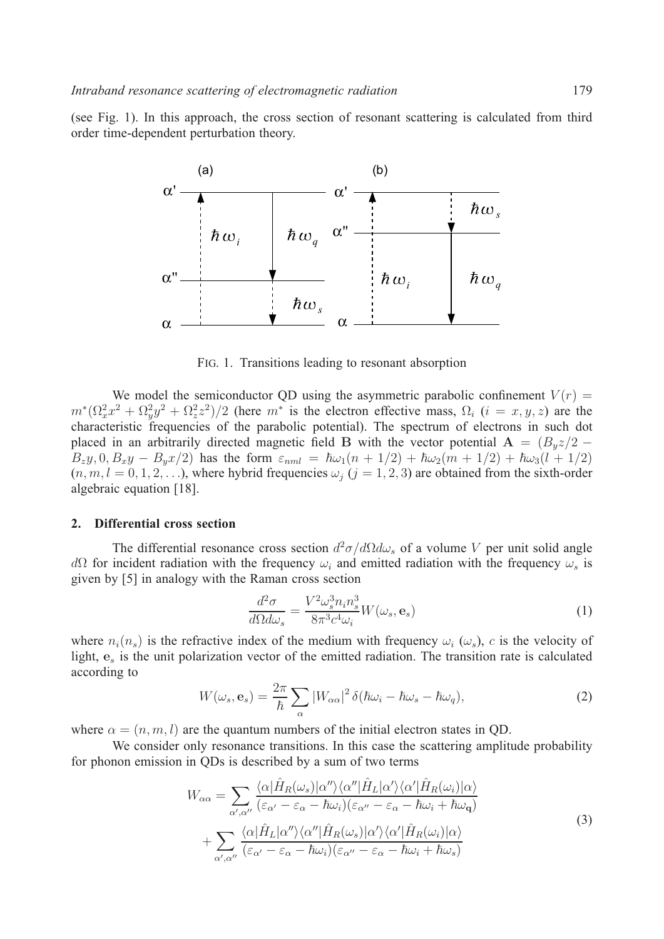(see Fig. 1). In this approach, the cross section of resonant scattering is calculated from third order time-dependent perturbation theory.



FIG. 1. Transitions leading to resonant absorption

We model the semiconductor QD using the asymmetric parabolic confinement  $V(r)$  =  $m^*(\Omega_x^2 x^2 + \Omega_y^2 y^2 + \Omega_z^2 z^2)/2$  (here  $m^*$  is the electron effective mass,  $\Omega_i$   $(i = x, y, z)$  are the characteristic frequencies of the parabolic potential). The spectrum of electrons in such dot placed in an arbitrarily directed magnetic field **B** with the vector potential  $\mathbf{A} = (B_u z/2 B_z y, 0, B_x y - B_y x/2$  has the form  $\varepsilon_{nml} = \hbar \omega_1 (n + 1/2) + \hbar \omega_2 (m + 1/2) + \hbar \omega_3 (l + 1/2)$  $(n, m, l = 0, 1, 2, \ldots)$ , where hybrid frequencies  $\omega_i$   $(j = 1, 2, 3)$  are obtained from the sixth-order algebraic equation [18].

#### **2. Differential cross section**

The differential resonance cross section  $d^2\sigma/d\Omega d\omega_s$  of a volume V per unit solid angle  $dΩ$  for incident radiation with the frequency  $ω<sub>i</sub>$  and emitted radiation with the frequency  $ω<sub>s</sub>$  is given by [5] in analogy with the Raman cross section

$$
\frac{d^2\sigma}{d\Omega d\omega_s} = \frac{V^2 \omega_s^3 n_i n_s^3}{8\pi^3 c^4 \omega_i} W(\omega_s, \mathbf{e}_s)
$$
(1)

where  $n_i(n_s)$  is the refractive index of the medium with frequency  $\omega_i$  ( $\omega_s$ ), c is the velocity of light,  $e_s$  is the unit polarization vector of the emitted radiation. The transition rate is calculated according to

$$
W(\omega_s, \mathbf{e}_s) = \frac{2\pi}{\hbar} \sum_{\alpha} |W_{\alpha\alpha}|^2 \, \delta(\hbar\omega_i - \hbar\omega_s - \hbar\omega_q), \tag{2}
$$

where  $\alpha = (n, m, l)$  are the quantum numbers of the initial electron states in QD.

We consider only resonance transitions. In this case the scattering amplitude probability for phonon emission in QDs is described by a sum of two terms

$$
W_{\alpha\alpha} = \sum_{\alpha',\alpha''} \frac{\langle \alpha | \hat{H}_R(\omega_s) | \alpha'' \rangle \langle \alpha'' | \hat{H}_L | \alpha' \rangle \langle \alpha' | \hat{H}_R(\omega_i) | \alpha \rangle}{(\varepsilon_{\alpha'} - \varepsilon_{\alpha} - \hbar \omega_i)(\varepsilon_{\alpha''} - \varepsilon_{\alpha} - \hbar \omega_i + \hbar \omega_q)} + \sum_{\alpha',\alpha''} \frac{\langle \alpha | \hat{H}_L | \alpha'' \rangle \langle \alpha'' | \hat{H}_R(\omega_s) | \alpha' \rangle \langle \alpha' | \hat{H}_R(\omega_i) | \alpha \rangle}{(\varepsilon_{\alpha'} - \varepsilon_{\alpha} - \hbar \omega_i)(\varepsilon_{\alpha''} - \varepsilon_{\alpha} - \hbar \omega_i + \hbar \omega_s)}
$$
(3)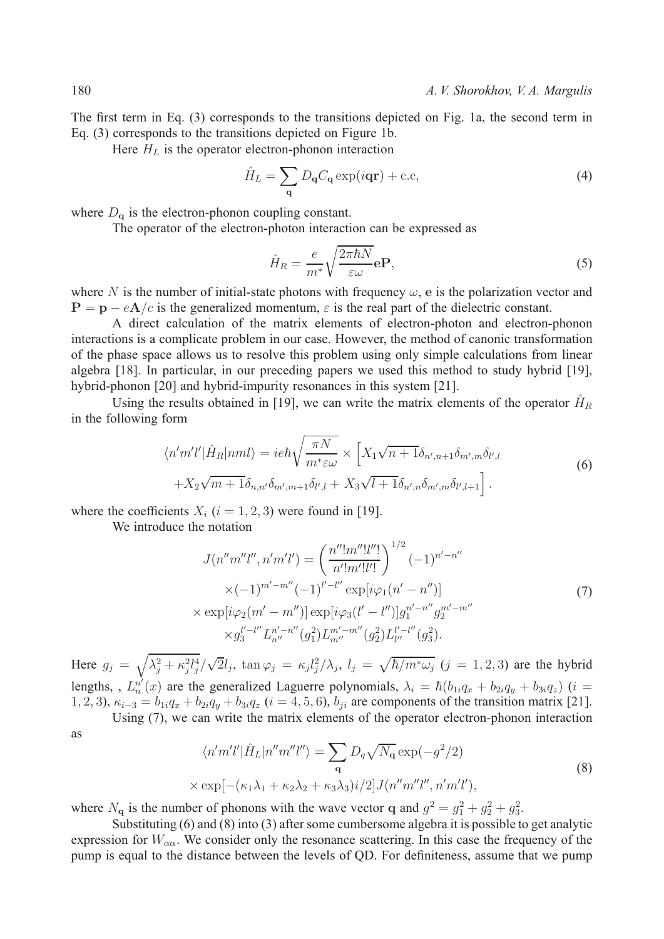The first term in Eq. (3) corresponds to the transitions depicted on Fig. 1a, the second term in Eq. (3) corresponds to the transitions depicted on Figure 1b.

Here  $H_L$  is the operator electron-phonon interaction

$$
\hat{H}_L = \sum_{\mathbf{q}} D_{\mathbf{q}} C_{\mathbf{q}} \exp(i\mathbf{q}\mathbf{r}) + \text{c.c},\tag{4}
$$

where  $D_{q}$  is the electron-phonon coupling constant.

The operator of the electron-photon interaction can be expressed as

$$
\hat{H}_R = \frac{e}{m^*} \sqrt{\frac{2\pi\hbar N}{\varepsilon \omega}} \mathbf{e} \mathbf{P},\tag{5}
$$

where N is the number of initial-state photons with frequency  $\omega$ , e is the polarization vector and  $P = p - eA/c$  is the generalized momentum,  $\varepsilon$  is the real part of the dielectric constant.

A direct calculation of the matrix elements of electron-photon and electron-phonon interactions is a complicate problem in our case. However, the method of canonic transformation of the phase space allows us to resolve this problem using only simple calculations from linear algebra [18]. In particular, in our preceding papers we used this method to study hybrid [19], hybrid-phonon [20] and hybrid-impurity resonances in this system [21].

Using the results obtained in [19], we can write the matrix elements of the operator  $\hat{H}_R$ in the following form

$$
\langle n'm'l'|\hat{H}_R|nml\rangle = ie\hbar\sqrt{\frac{\pi N}{m^*\varepsilon\omega}} \times \left[X_1\sqrt{n+1}\delta_{n',n+1}\delta_{m',m}\delta_{l',l}\right.+X_2\sqrt{m+1}\delta_{n,n'}\delta_{m',m+1}\delta_{l',l} + X_3\sqrt{l+1}\delta_{n',n}\delta_{m',m}\delta_{l',l+1}\right].
$$
\n(6)

where the coefficients  $X_i$  ( $i = 1, 2, 3$ ) were found in [19].

We introduce the notation

$$
J(n''m''l'',n'm'l') = \left(\frac{n''!m''l''!}{n'!m'!l''!}\right)^{1/2} (-1)^{n'-n''}
$$
  
 
$$
\times (-1)^{m'-m''} (-1)^{l'-l''} \exp[i\varphi_1(n'-n'')]
$$
  
 
$$
\times \exp[i\varphi_2(m'-m'')] \exp[i\varphi_3(l'-l'')]g_1^{n'-n''}g_2^{m'-m''}
$$
  
 
$$
\times g_3^{l'-l''} L_{n''}^{n'-n''}(g_1^2) L_{m''}^{m'-m''}(g_2^2) L_{l''}^{l'-l''}(g_3^2).
$$
 (7)

Here  $g_j = \sqrt{\lambda_j^2 + \kappa_j^2 l_j^4}/\sqrt{2}l_j$ ,  $\tan \varphi_j = \kappa_j l_j^2/\lambda_j$ ,  $l_j = \sqrt{\hbar/m^* \omega_j}$   $(j = 1, 2, 3)$  are the hybrid lengths, ,  $L_n^{n'}(x)$  are the generalized Laguerre polynomials,  $\lambda_i = \hbar (b_{1i}q_x + b_{2i}q_y + b_{3i}q_z)$  (i = 1, 2, 3),  $\kappa_{i-3} = b_{1i}q_x + b_{2i}q_y + b_{3i}q_z$  ( $i = 4, 5, 6$ ),  $b_{ji}$  are components of the transition matrix [21].

Using (7), we can write the matrix elements of the operator electron-phonon interaction as

$$
\langle n'm'l'|\hat{H}_L|n''m''l''\rangle = \sum_{\mathbf{q}} D_q \sqrt{N_{\mathbf{q}}} \exp(-g^2/2)
$$
  
 
$$
\times \exp[-(\kappa_1 \lambda_1 + \kappa_2 \lambda_2 + \kappa_3 \lambda_3)i/2] J(n''m''l'', n'm'l'), \qquad (8)
$$

where  $N_{q}$  is the number of phonons with the wave vector q and  $g^{2} = g_{1}^{2} + g_{2}^{2} + g_{3}^{2}$ .

Substituting (6) and (8) into (3) after some cumbersome algebra it is possible to get analytic expression for  $W_{\alpha\alpha}$ . We consider only the resonance scattering. In this case the frequency of the pump is equal to the distance between the levels of QD. For definiteness, assume that we pump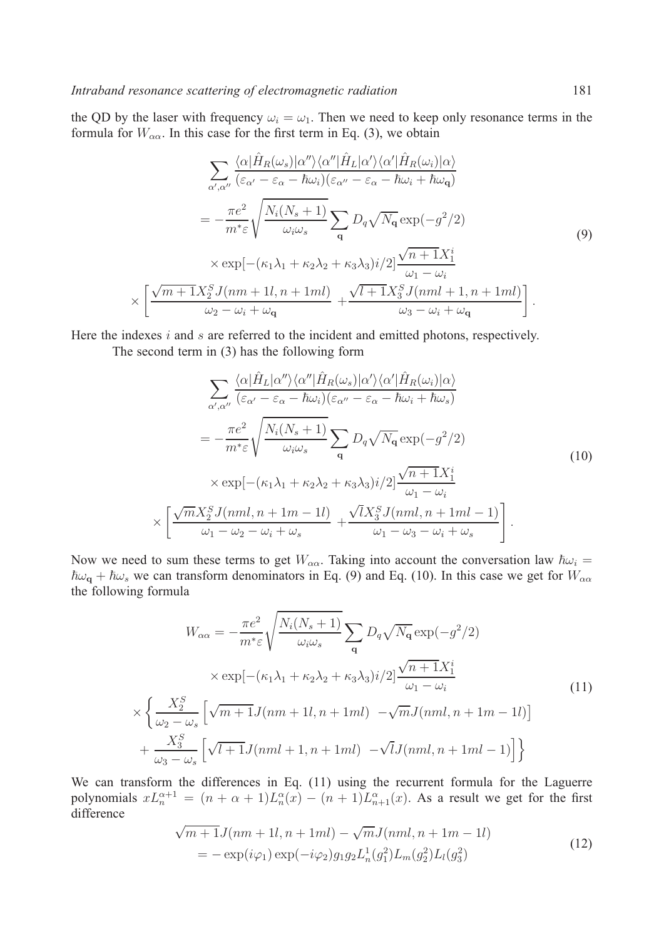the QD by the laser with frequency  $\omega_i = \omega_1$ . Then we need to keep only resonance terms in the formula for  $W_{\alpha\alpha}$ . In this case for the first term in Eq. (3), we obtain

$$
\sum_{\alpha',\alpha''}\frac{\langle \alpha|\hat{H}_R(\omega_s)|\alpha''\rangle \langle \alpha''|\hat{H}_L|\alpha'\rangle \langle \alpha'|\hat{H}_R(\omega_i)|\alpha\rangle}{(\varepsilon_{\alpha'}-\varepsilon_{\alpha}-\hbar\omega_i)(\varepsilon_{\alpha''}-\varepsilon_{\alpha}-\hbar\omega_i+\hbar\omega_{\mathbf{q}})}
$$
  
\n
$$
=-\frac{\pi e^2}{m^*\varepsilon}\sqrt{\frac{N_i(N_s+1)}{\omega_i\omega_s}}\sum_{\mathbf{q}}D_q\sqrt{N_{\mathbf{q}}}\exp(-g^2/2)
$$
  
\n
$$
\times \exp[-(\kappa_1\lambda_1+\kappa_2\lambda_2+\kappa_3\lambda_3)i/2]\frac{\sqrt{n+1}X_1^i}{\omega_1-\omega_i}
$$
  
\n
$$
\times \left[\frac{\sqrt{m+1}X_2^S J(nm+1l,n+1ml)}{\omega_2-\omega_i+\omega_{\mathbf{q}}}+\frac{\sqrt{l+1}X_3^S J(nml+1,n+1ml)}{\omega_3-\omega_i+\omega_{\mathbf{q}}}\right].
$$
 (9)

Here the indexes  $i$  and  $s$  are referred to the incident and emitted photons, respectively.

The second term in (3) has the following form

$$
\sum_{\alpha',\alpha''}\frac{\langle \alpha|\hat{H}_L|\alpha''\rangle \langle \alpha''|\hat{H}_R(\omega_s)|\alpha'\rangle \langle \alpha'|\hat{H}_R(\omega_i)|\alpha\rangle}{(\varepsilon_{\alpha'}-\varepsilon_{\alpha}-\hbar\omega_i)(\varepsilon_{\alpha''}-\varepsilon_{\alpha}-\hbar\omega_i+\hbar\omega_s)}
$$
\n
$$
=-\frac{\pi e^2}{m^*\varepsilon}\sqrt{\frac{N_i(N_s+1)}{\omega_i\omega_s}}\sum_{\mathbf{q}}D_q\sqrt{N_{\mathbf{q}}}\exp(-g^2/2)
$$
\n
$$
\times \exp[-(\kappa_1\lambda_1+\kappa_2\lambda_2+\kappa_3\lambda_3)i/2]\frac{\sqrt{n+1}X_1^i}{\omega_1-\omega_i}
$$
\n
$$
\times \left[\frac{\sqrt{m}X_2^S J(nml,n+1m-1l)}{\omega_1-\omega_2-\omega_i+\omega_s}+\frac{\sqrt{l}X_3^S J(nml,n+1ml-1)}{\omega_1-\omega_3-\omega_i+\omega_s}\right].
$$
\n(10)

Now we need to sum these terms to get  $W_{\alpha\alpha}$ . Taking into account the conversation law  $\hbar\omega_i$  =  $\hbar\omega_q + \hbar\omega_s$  we can transform denominators in Eq. (9) and Eq. (10). In this case we get for  $W_{\alpha\alpha}$ the following formula

$$
W_{\alpha\alpha} = -\frac{\pi e^2}{m^* \varepsilon} \sqrt{\frac{N_i (N_s + 1)}{\omega_i \omega_s}} \sum_{\mathbf{q}} D_q \sqrt{N_{\mathbf{q}}} \exp(-g^2/2)
$$
  
 
$$
\times \exp[-(\kappa_1 \lambda_1 + \kappa_2 \lambda_2 + \kappa_3 \lambda_3) i/2] \frac{\sqrt{n+1} X_1^i}{\omega_1 - \omega_i}
$$
(11)  
 
$$
\times \left\{ \frac{X_2^S}{\omega_2 - \omega_s} \left[ \sqrt{m+1} J(nm + 1l, n + 1ml) - \sqrt{m} J(nml, n + 1m - 1l) \right] + \frac{X_3^S}{\omega_3 - \omega_s} \left[ \sqrt{l+1} J(nml + 1, n + 1ml) - \sqrt{l} J(nml, n + 1ml - 1) \right] \right\}
$$

We can transform the differences in Eq. (11) using the recurrent formula for the Laguerre polynomials  $xL_n^{\alpha+1} = (n+\alpha+1)L_n^{\alpha}(x) - (n+1)L_{n+1}^{\alpha}(x)$ . As a result we get for the first difference

$$
\sqrt{m+1}J(nm+1l, n+1ml) - \sqrt{m}J(nml, n+1m-1l)
$$
  
=  $-\exp(i\varphi_1)\exp(-i\varphi_2)g_1g_2L_n^1(g_1^2)L_m(g_2^2)L_l(g_3^2)$  (12)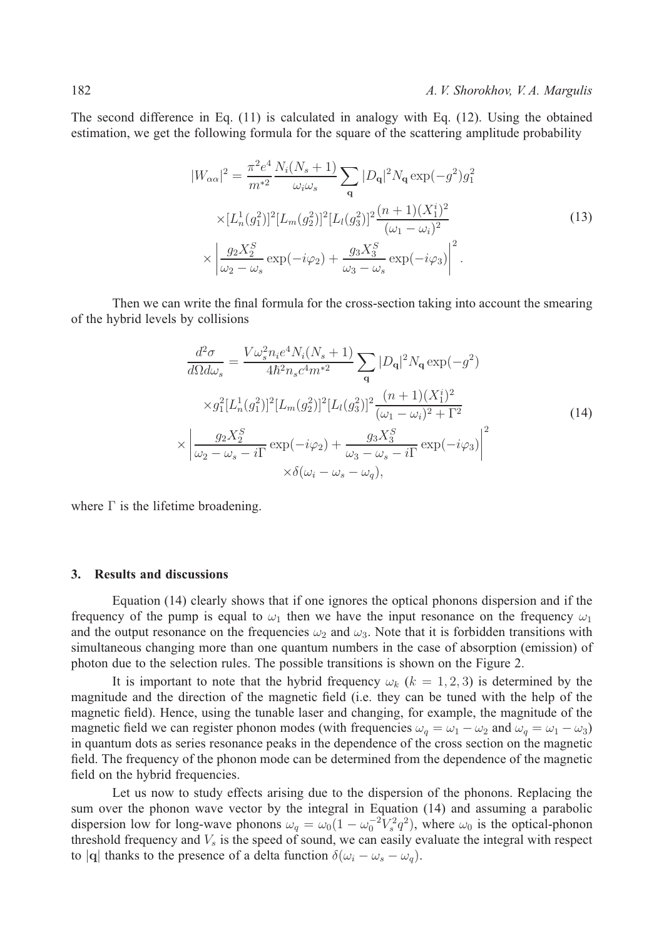The second difference in Eq. (11) is calculated in analogy with Eq. (12). Using the obtained estimation, we get the following formula for the square of the scattering amplitude probability

$$
|W_{\alpha\alpha}|^2 = \frac{\pi^2 e^4}{m^{*2}} \frac{N_i (N_s + 1)}{\omega_i \omega_s} \sum_{\mathbf{q}} |D_{\mathbf{q}}|^2 N_{\mathbf{q}} \exp(-g^2) g_1^2
$$
  
 
$$
\times [L_n^1(g_1^2)]^2 [L_m(g_2^2)]^2 [L_l(g_3^2)]^2 \frac{(n+1)(X_1^i)^2}{(\omega_1 - \omega_i)^2}
$$
  
 
$$
\times \left| \frac{g_2 X_2^S}{\omega_2 - \omega_s} \exp(-i\varphi_2) + \frac{g_3 X_3^S}{\omega_3 - \omega_s} \exp(-i\varphi_3) \right|^2.
$$
 (13)

Then we can write the final formula for the cross-section taking into account the smearing of the hybrid levels by collisions

$$
\frac{d^2\sigma}{d\Omega d\omega_s} = \frac{V\omega_s^2 n_i e^4 N_i (N_s + 1)}{4\hbar^2 n_s c^4 m^{*2}} \sum_{\mathbf{q}} |D_{\mathbf{q}}|^2 N_{\mathbf{q}} \exp(-g^2)
$$
  

$$
\times g_1^2 [L_n^1(g_1^2)]^2 [L_m(g_2^2)]^2 [L_l(g_3^2)]^2 \frac{(n+1)(X_1^i)^2}{(\omega_1 - \omega_i)^2 + \Gamma^2}
$$
  

$$
\times \left| \frac{g_2 X_2^S}{\omega_2 - \omega_s - i\Gamma} \exp(-i\varphi_2) + \frac{g_3 X_3^S}{\omega_3 - \omega_s - i\Gamma} \exp(-i\varphi_3) \right|^2
$$
  

$$
\times \delta(\omega_i - \omega_s - \omega_q),
$$
 (14)

where  $\Gamma$  is the lifetime broadening.

#### **3. Results and discussions**

Equation (14) clearly shows that if one ignores the optical phonons dispersion and if the frequency of the pump is equal to  $\omega_1$  then we have the input resonance on the frequency  $\omega_1$ and the output resonance on the frequencies  $\omega_2$  and  $\omega_3$ . Note that it is forbidden transitions with simultaneous changing more than one quantum numbers in the case of absorption (emission) of photon due to the selection rules. The possible transitions is shown on the Figure 2.

It is important to note that the hybrid frequency  $\omega_k$  ( $k = 1, 2, 3$ ) is determined by the magnitude and the direction of the magnetic field (i.e. they can be tuned with the help of the magnetic field). Hence, using the tunable laser and changing, for example, the magnitude of the magnetic field we can register phonon modes (with frequencies  $\omega_q = \omega_1 - \omega_2$  and  $\omega_q = \omega_1 - \omega_3$ ) in quantum dots as series resonance peaks in the dependence of the cross section on the magnetic field. The frequency of the phonon mode can be determined from the dependence of the magnetic field on the hybrid frequencies.

Let us now to study effects arising due to the dispersion of the phonons. Replacing the sum over the phonon wave vector by the integral in Equation (14) and assuming a parabolic dispersion low for long-wave phonons  $\omega_q = \omega_0 (1 - \omega_0^{-2} V_s^2 q^2)$ , where  $\omega_0$  is the optical-phonon threshold frequency and  $V_s$  is the speed of sound, we can easily evaluate the integral with respect to |**q**| thanks to the presence of a delta function  $\delta(\omega_i - \omega_s - \omega_q)$ .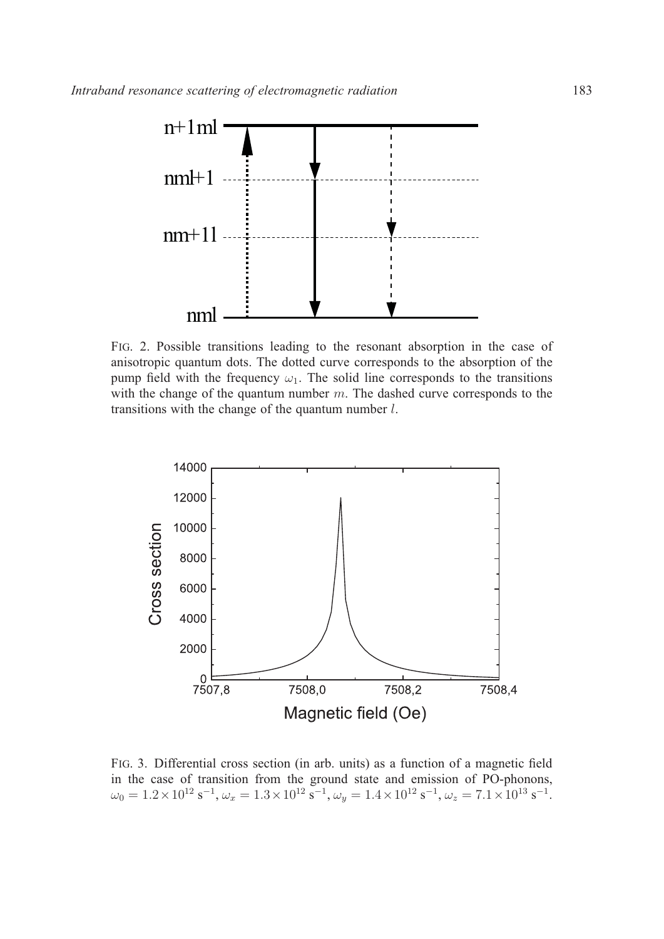

FIG. 2. Possible transitions leading to the resonant absorption in the case of anisotropic quantum dots. The dotted curve corresponds to the absorption of the pump field with the frequency  $\omega_1$ . The solid line corresponds to the transitions with the change of the quantum number  $m$ . The dashed curve corresponds to the transitions with the change of the quantum number  $l$ .



FIG. 3. Differential cross section (in arb. units) as a function of a magnetic field in the case of transition from the ground state and emission of PO-phonons,  $\omega_0 = 1.2 \times 10^{12} \text{ s}^{-1}, \omega_x = 1.3 \times 10^{12} \text{ s}^{-1}, \omega_y = 1.4 \times 10^{12} \text{ s}^{-1}, \omega_z = 7.1 \times 10^{13} \text{ s}^{-1}.$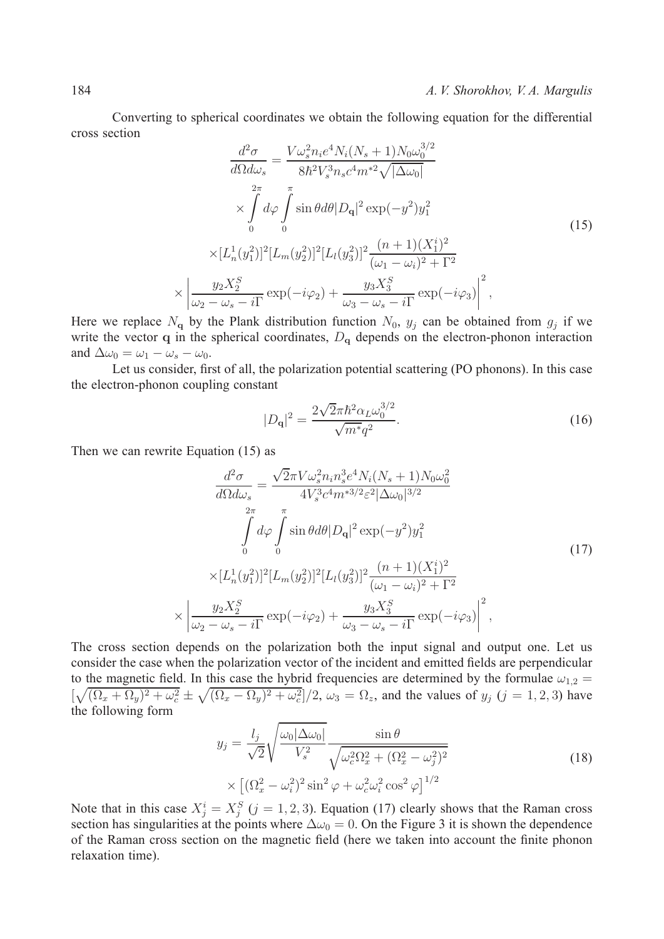Converting to spherical coordinates we obtain the following equation for the differential cross section

$$
\frac{d^2\sigma}{d\Omega d\omega_s} = \frac{V\omega_s^2 n_i e^4 N_i (N_s + 1) N_0 \omega_0^{3/2}}{8\hbar^2 V_s^3 n_s c^4 m^{*2} \sqrt{|\Delta\omega_0|}}\n\times \int_{0}^{2\pi} d\varphi \int_{0}^{\pi} \sin\theta d\theta |D_{\mathbf{q}}|^2 \exp(-y^2) y_1^2
$$
\n
$$
\times [L_n^1(y_1^2)]^2 [L_m(y_2^2)]^2 [L_l(y_3^2)]^2 \frac{(n+1)(X_1^i)^2}{(\omega_1 - \omega_i)^2 + \Gamma^2}\n\times \left| \frac{y_2 X_2^S}{\omega_2 - \omega_s - i\Gamma} \exp(-i\varphi_2) + \frac{y_3 X_3^S}{\omega_3 - \omega_s - i\Gamma} \exp(-i\varphi_3) \right|^2,
$$
\n(15)

Here we replace  $N_q$  by the Plank distribution function  $N_0$ ,  $y_j$  can be obtained from  $g_j$  if we write the vector **q** in the spherical coordinates,  $D_q$  depends on the electron-phonon interaction and  $\Delta \omega_0 = \omega_1 - \omega_s - \omega_0$ .

Let us consider, first of all, the polarization potential scattering (PO phonons). In this case the electron-phonon coupling constant

$$
|D_{\mathbf{q}}|^2 = \frac{2\sqrt{2}\pi\hbar^2\alpha_L\omega_0^{3/2}}{\sqrt{m^*q^2}}.\tag{16}
$$

Then we can rewrite Equation (15) as

 $\times$ 

$$
\frac{d^2\sigma}{d\Omega d\omega_s} = \frac{\sqrt{2}\pi V \omega_s^2 n_i n_s^3 e^4 N_i (N_s + 1) N_0 \omega_0^2}{4 V_s^3 c^4 m^{*3/2} \varepsilon^2 |\Delta\omega_0|^{3/2}} \n\int_0^{2\pi} d\varphi \int_0^{\pi} \sin \theta d\theta |D_{\mathbf{q}}|^2 \exp(-y^2) y_1^2 \n\times [L_n^1(y_1^2)]^2 [L_m(y_2^2)]^2 [L_l(y_3^2)]^2 \frac{(n+1)(X_1^i)^2}{(\omega_1 - \omega_i)^2 + \Gamma^2} \n\frac{y_2 X_2^S}{\omega_2 - \omega_s - i\Gamma} \exp(-i\varphi_2) + \frac{y_3 X_3^S}{\omega_3 - \omega_s - i\Gamma} \exp(-i\varphi_3) \bigg|^2,
$$
\n(17)

The cross section depends on the polarization both the input signal and output one. Let us consider the case when the polarization vector of the incident and emitted fields are perpendicular to the magnetic field. In this case the hybrid frequencies are determined by the formulae  $\omega_{1,2}$  =  $\left[\sqrt{(\Omega_x + \Omega_y)^2 + \omega_c^2} \pm \sqrt{(\Omega_x - \Omega_y)^2 + \omega_c^2}\right]/2$ ,  $\omega_3 = \Omega_z$ , and the values of  $y_j$   $(j = 1, 2, 3)$  have the following form

$$
y_j = \frac{l_j}{\sqrt{2}} \sqrt{\frac{\omega_0 |\Delta \omega_0|}{V_s^2}} \frac{\sin \theta}{\sqrt{\omega_c^2 \Omega_x^2 + (\Omega_x^2 - \omega_j^2)^2}} \times \left[ (\Omega_x^2 - \omega_i^2)^2 \sin^2 \varphi + \omega_c^2 \omega_i^2 \cos^2 \varphi \right]^{1/2}
$$
(18)

Note that in this case  $X_j^i = X_j^S$  ( $j = 1, 2, 3$ ). Equation (17) clearly shows that the Raman cross section has singularities at the points where  $\Delta \omega_0 = 0$ . On the Figure 3 it is shown the dependence of the Raman cross section on the magnetic field (here we taken into account the finite phonon relaxation time).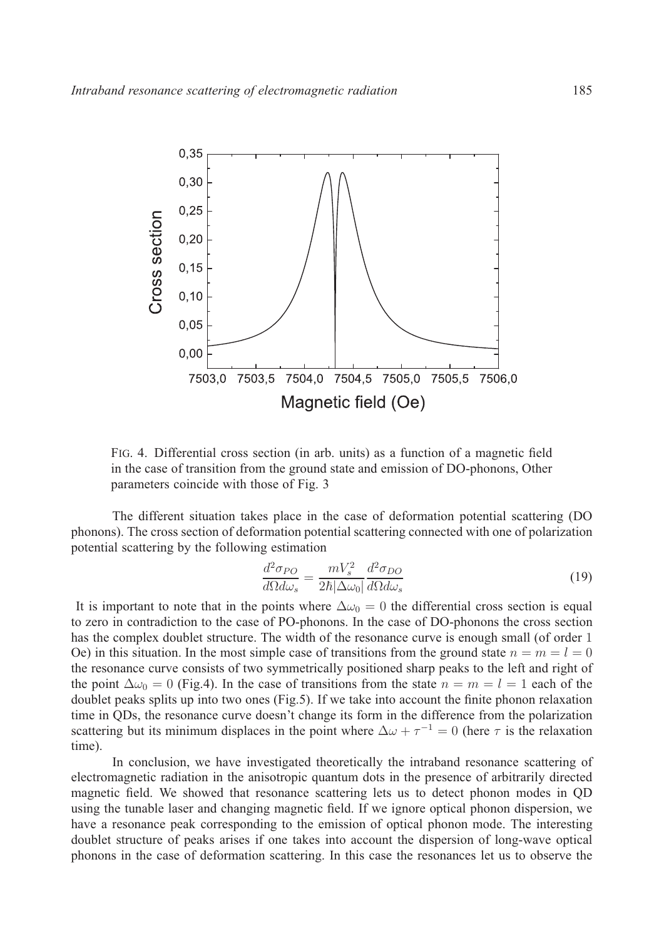

FIG. 4. Differential cross section (in arb. units) as a function of a magnetic field in the case of transition from the ground state and emission of DO-phonons, Other parameters coincide with those of Fig. 3

The different situation takes place in the case of deformation potential scattering (DO phonons). The cross section of deformation potential scattering connected with one of polarization potential scattering by the following estimation

$$
\frac{d^2 \sigma_{PO}}{d\Omega d\omega_s} = \frac{mV_s^2}{2\hbar|\Delta\omega_0|} \frac{d^2 \sigma_{DO}}{d\Omega d\omega_s}
$$
(19)

It is important to note that in the points where  $\Delta \omega_0 = 0$  the differential cross section is equal to zero in contradiction to the case of PO-phonons. In the case of DO-phonons the cross section has the complex doublet structure. The width of the resonance curve is enough small (of order 1 Oe) in this situation. In the most simple case of transitions from the ground state  $n = m = l = 0$ the resonance curve consists of two symmetrically positioned sharp peaks to the left and right of the point  $\Delta \omega_0 = 0$  (Fig.4). In the case of transitions from the state  $n = m = l = 1$  each of the doublet peaks splits up into two ones (Fig.5). If we take into account the finite phonon relaxation time in QDs, the resonance curve doesn't change its form in the difference from the polarization scattering but its minimum displaces in the point where  $\Delta \omega + \tau^{-1} = 0$  (here  $\tau$  is the relaxation time).

In conclusion, we have investigated theoretically the intraband resonance scattering of electromagnetic radiation in the anisotropic quantum dots in the presence of arbitrarily directed magnetic field. We showed that resonance scattering lets us to detect phonon modes in QD using the tunable laser and changing magnetic field. If we ignore optical phonon dispersion, we have a resonance peak corresponding to the emission of optical phonon mode. The interesting doublet structure of peaks arises if one takes into account the dispersion of long-wave optical phonons in the case of deformation scattering. In this case the resonances let us to observe the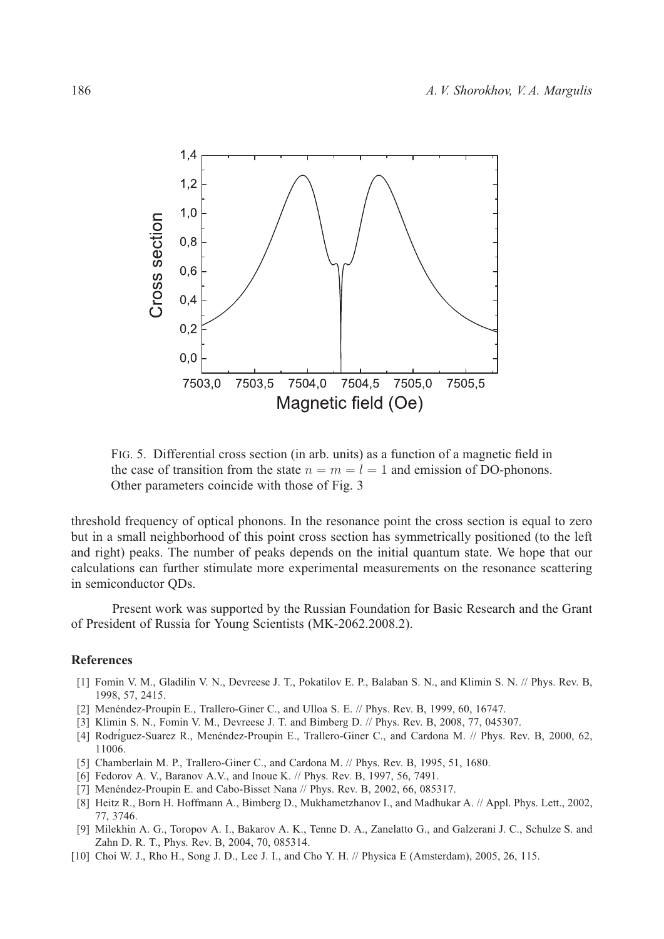

FIG. 5. Differential cross section (in arb. units) as a function of a magnetic field in the case of transition from the state  $n = m = l = 1$  and emission of DO-phonons. Other parameters coincide with those of Fig. 3

threshold frequency of optical phonons. In the resonance point the cross section is equal to zero but in a small neighborhood of this point cross section has symmetrically positioned (to the left and right) peaks. The number of peaks depends on the initial quantum state. We hope that our calculations can further stimulate more experimental measurements on the resonance scattering in semiconductor QDs.

Present work was supported by the Russian Foundation for Basic Research and the Grant of President of Russia for Young Scientists (MK-2062.2008.2).

#### **References**

- [1] Fomin V. M., Gladilin V. N., Devreese J. T., Pokatilov E. P., Balaban S. N., and Klimin S. N. // Phys. Rev. B, 1998, 57, 2415.
- [2] Menéndez-Proupin E., Trallero-Giner C., and Ulloa S. E.  $//$  Phys. Rev. B, 1999, 60, 16747.
- [3] Klimin S. N., Fomin V. M., Devreese J. T. and Bimberg D. // Phys. Rev. B, 2008, 77, 045307.
- [4] Rodríguez-Suarez R., Menéndez-Proupin E., Trallero-Giner C., and Cardona M. // Phys. Rev. B, 2000, 62, 11006.
- [5] Chamberlain M. P., Trallero-Giner C., and Cardona M. // Phys. Rev. B, 1995, 51, 1680.
- [6] Fedorov A. V., Baranov A.V., and Inoue K. // Phys. Rev. B, 1997, 56, 7491.
- [7] Menéndez-Proupin E. and Cabo-Bisset Nana  $//$  Phys. Rev. B, 2002, 66, 085317.
- [8] Heitz R., Born H. Hoffmann A., Bimberg D., Mukhametzhanov I., and Madhukar A. // Appl. Phys. Lett., 2002, 77, 3746.
- [9] Milekhin A. G., Toropov A. I., Bakarov A. K., Tenne D. A., Zanelatto G., and Galzerani J. C., Schulze S. and Zahn D. R. T., Phys. Rev. B, 2004, 70, 085314.
- [10] Choi W. J., Rho H., Song J. D., Lee J. I., and Cho Y. H. // Physica E (Amsterdam), 2005, 26, 115.